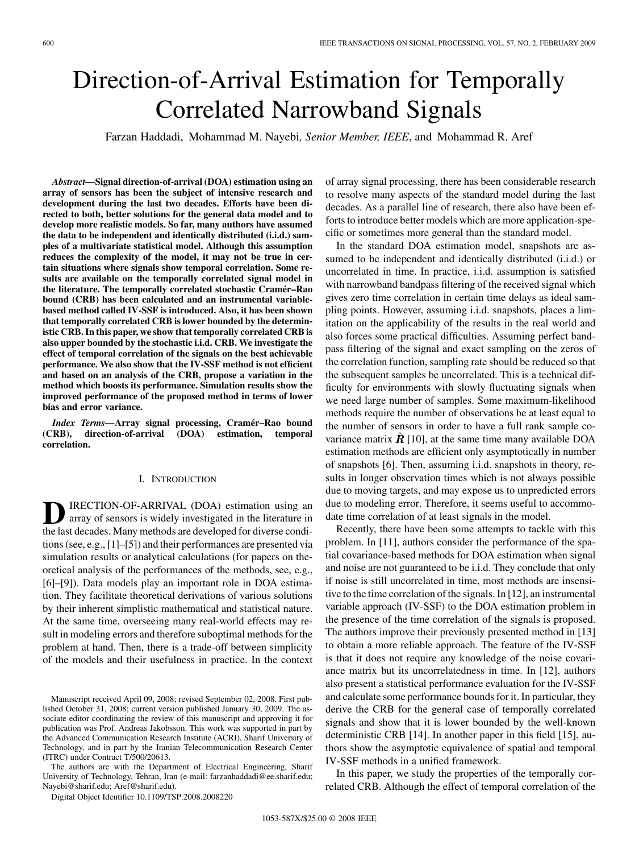# Direction-of-Arrival Estimation for Temporally Correlated Narrowband Signals

Farzan Haddadi, Mohammad M. Nayebi*, Senior Member, IEEE*, and Mohammad R. Aref

*Abstract—***Signal direction-of-arrival (DOA) estimation using an array of sensors has been the subject of intensive research and development during the last two decades. Efforts have been directed to both, better solutions for the general data model and to develop more realistic models. So far, many authors have assumed the data to be independent and identically distributed (i.i.d.) samples of a multivariate statistical model. Although this assumption reduces the complexity of the model, it may not be true in certain situations where signals show temporal correlation. Some results are available on the temporally correlated signal model in the literature. The temporally correlated stochastic Cramér–Rao bound (CRB) has been calculated and an instrumental variablebased method called IV-SSF is introduced. Also, it has been shown that temporally correlated CRB is lower bounded by the deterministic CRB. In this paper, we show that temporally correlated CRB is also upper bounded by the stochastic i.i.d. CRB. We investigate the effect of temporal correlation of the signals on the best achievable performance. We also show that the IV-SSF method is not efficient and based on an analysis of the CRB, propose a variation in the method which boosts its performance. Simulation results show the improved performance of the proposed method in terms of lower bias and error variance.**

*Index Terms—***Array signal processing, Cramér–Rao bound (CRB), direction-of-arrival (DOA) estimation, temporal correlation.**

#### I. INTRODUCTION

**D**IRECTION-OF-ARRIVAL (DOA) estimation using an array of sensors is widely investigated in the literature in the last decades. Many methods are developed for diverse conditions (see, e.g., [1]–[5]) and their performances are presented via simulation results or analytical calculations (for papers on theoretical analysis of the performances of the methods, see, e.g., [6]–[9]). Data models play an important role in DOA estimation. They facilitate theoretical derivations of various solutions by their inherent simplistic mathematical and statistical nature. At the same time, overseeing many real-world effects may result in modeling errors and therefore suboptimal methods for the problem at hand. Then, there is a trade-off between simplicity of the models and their usefulness in practice. In the context

The authors are with the Department of Electrical Engineering, Sharif University of Technology, Tehran, Iran (e-mail: farzanhaddadi@ee.sharif.edu; Nayebi@sharif.edu; Aref@sharif.edu).

Digital Object Identifier 10.1109/TSP.2008.2008220

of array signal processing, there has been considerable research to resolve many aspects of the standard model during the last decades. As a parallel line of research, there also have been efforts to introduce better models which are more application-specific or sometimes more general than the standard model.

In the standard DOA estimation model, snapshots are assumed to be independent and identically distributed (i.i.d.) or uncorrelated in time. In practice, i.i.d. assumption is satisfied with narrowband bandpass filtering of the received signal which gives zero time correlation in certain time delays as ideal sampling points. However, assuming i.i.d. snapshots, places a limitation on the applicability of the results in the real world and also forces some practical difficulties. Assuming perfect bandpass filtering of the signal and exact sampling on the zeros of the correlation function, sampling rate should be reduced so that the subsequent samples be uncorrelated. This is a technical difficulty for environments with slowly fluctuating signals when we need large number of samples. Some maximum-likelihood methods require the number of observations be at least equal to the number of sensors in order to have a full rank sample covariance matrix  $\hat{R}$  [10], at the same time many available DOA estimation methods are efficient only asymptotically in number of snapshots [6]. Then, assuming i.i.d. snapshots in theory, results in longer observation times which is not always possible due to moving targets, and may expose us to unpredicted errors due to modeling error. Therefore, it seems useful to accommodate time correlation of at least signals in the model.

Recently, there have been some attempts to tackle with this problem. In [11], authors consider the performance of the spatial covariance-based methods for DOA estimation when signal and noise are not guaranteed to be i.i.d. They conclude that only if noise is still uncorrelated in time, most methods are insensitive to the time correlation of the signals. In [12], an instrumental variable approach (IV-SSF) to the DOA estimation problem in the presence of the time correlation of the signals is proposed. The authors improve their previously presented method in [13] to obtain a more reliable approach. The feature of the IV-SSF is that it does not require any knowledge of the noise covariance matrix but its uncorrelatedness in time. In [12], authors also present a statistical performance evaluation for the IV-SSF and calculate some performance bounds for it. In particular, they derive the CRB for the general case of temporally correlated signals and show that it is lower bounded by the well-known deterministic CRB [14]. In another paper in this field [15], authors show the asymptotic equivalence of spatial and temporal IV-SSF methods in a unified framework.

In this paper, we study the properties of the temporally correlated CRB. Although the effect of temporal correlation of the

Manuscript received April 09, 2008; revised September 02, 2008. First published October 31, 2008; current version published January 30, 2009. The associate editor coordinating the review of this manuscript and approving it for publication was Prof. Andreas Jakobsson. This work was supported in part by the Advanced Communication Research Institute (ACRI), Sharif University of Technology, and in part by the Iranian Telecommunication Research Center (ITRC) under Contract T/500/20613.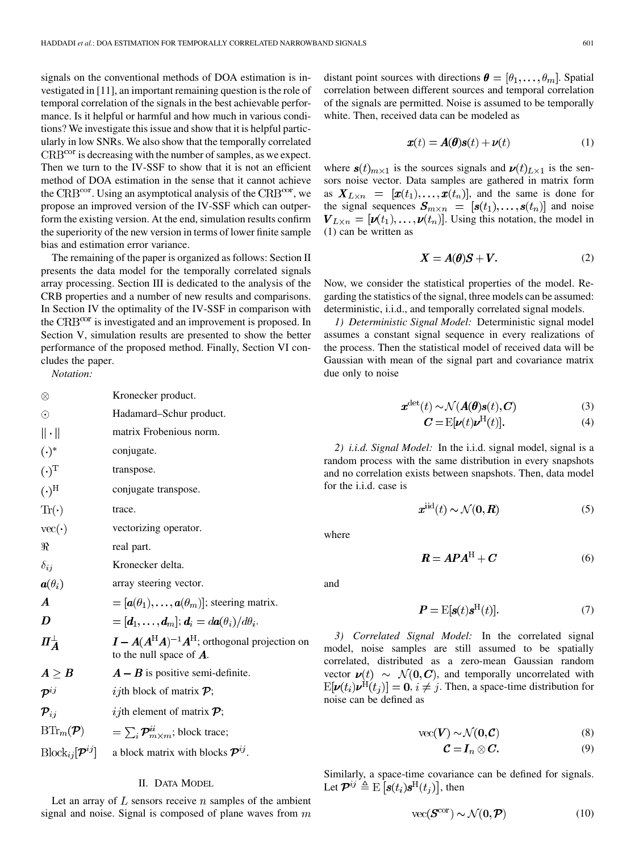signals on the conventional methods of DOA estimation is investigated in [11], an important remaining question is the role of temporal correlation of the signals in the best achievable performance. Is it helpful or harmful and how much in various conditions? We investigate this issue and show that it is helpful particularly in low SNRs. We also show that the temporally correlated  $CRB<sup>cor</sup>$  is decreasing with the number of samples, as we expect. Then we turn to the IV-SSF to show that it is not an efficient method of DOA estimation in the sense that it cannot achieve the  $CRB<sup>cor</sup>$ . Using an asymptotical analysis of the  $CRB<sup>cor</sup>$ , we propose an improved version of the IV-SSF which can outperform the existing version. At the end, simulation results confirm the superiority of the new version in terms of lower finite sample bias and estimation error variance.

The remaining of the paper is organized as follows: Section II presents the data model for the temporally correlated signals array processing. Section III is dedicated to the analysis of the CRB properties and a number of new results and comparisons. In Section IV the optimality of the IV-SSF in comparison with the  $CRB<sup>cor</sup>$  is investigated and an improvement is proposed. In Section V, simulation results are presented to show the better performance of the proposed method. Finally, Section VI concludes the paper.

*Notation:*

| ⊗                                     | Kronecker product.                                                                                  |
|---------------------------------------|-----------------------------------------------------------------------------------------------------|
| $\odot$                               | Hadamard-Schur product.                                                                             |
| $\ \cdot\ $                           | matrix Frobenious norm.                                                                             |
| $(\cdot)^*$                           | conjugate.                                                                                          |
| $(\cdot)^{\mathrm{T}}$                | transpose.                                                                                          |
| $(\cdot)^{H}$                         | conjugate transpose.                                                                                |
| $\text{Tr}(\cdot)$                    | trace.                                                                                              |
| $vec(\cdot)$                          | vectorizing operator.                                                                               |
| R                                     | real part.                                                                                          |
| $\delta_{ii}$                         | Kronecker delta.                                                                                    |
| $a(\theta_i)$                         | array steering vector.                                                                              |
| $\boldsymbol{A}$                      | $=[\boldsymbol{a}(\theta_1),\ldots,\boldsymbol{a}(\theta_m)];$ steering matrix.                     |
| D                                     | $=[\boldsymbol{d}_1,\ldots,\boldsymbol{d}_m];\boldsymbol{d}_i=d\boldsymbol{a}(\theta_i)/d\theta_i.$ |
| $I\!I$ $\bar{A}$                      | $I - A(A^{\rm H}A)^{-1}A^{\rm H}$ ; orthogonal projection on<br>to the null space of $\vec{A}$ .    |
| $A \geq B$                            | $A - B$ is positive semi-definite.                                                                  |
| $\mathcal{P}^{ij}$                    | ijth block of matrix $P$ ;                                                                          |
| $\mathcal{P}_{ii}$                    | <i>i</i> jth element of matrix $\mathcal{P}$ ;                                                      |
| $\mathrm{BTr}_m(\mathcal{P})$         | $=\sum_i \boldsymbol{\mathcal{P}}_{m\times m}^{ii}$ ; block trace;                                  |
| $\text{Block}_{ij}[\mathcal{P}^{ij}]$ | a block matrix with blocks $\mathcal{P}^{ij}$ .                                                     |

## II. DATA MODEL

Let an array of  $L$  sensors receive  $n$  samples of the ambient signal and noise. Signal is composed of plane waves from  $m$  distant point sources with directions  $\boldsymbol{\theta} = [\theta_1, \dots, \theta_m]$ . Spatial correlation between different sources and temporal correlation of the signals are permitted. Noise is assumed to be temporally white. Then, received data can be modeled as

$$
\mathbf{x}(t) = \mathbf{A}(\boldsymbol{\theta})\mathbf{s}(t) + \mathbf{\nu}(t) \tag{1}
$$

where  $\mathbf{s}(t)_{m \times 1}$  is the sources signals and  $\mathbf{\nu}(t)_{L \times 1}$  is the sensors noise vector. Data samples are gathered in matrix form as  $X_{L\times n} = [x(t_1),...,x(t_n)],$  and the same is done for the signal sequences  $S_{m \times n} = [\mathbf{s}(t_1), \dots, \mathbf{s}(t_n)]$  and noise  $\mathbf{V}_{L\times n} = [\mathbf{\nu}(t_1), \dots, \mathbf{\nu}(t_n)]$ . Using this notation, the model in (1) can be written as

$$
X = A(\theta)S + V. \tag{2}
$$

Now, we consider the statistical properties of the model. Regarding the statistics of the signal, three models can be assumed: deterministic, i.i.d., and temporally correlated signal models.

*1) Deterministic Signal Model:* Deterministic signal model assumes a constant signal sequence in every realizations of the process. Then the statistical model of received data will be Gaussian with mean of the signal part and covariance matrix due only to noise

$$
\boldsymbol{x}^{\text{det}}(t) \sim \mathcal{N}(\boldsymbol{A}(\boldsymbol{\theta})\boldsymbol{s}(t), \boldsymbol{C})
$$
(3)

$$
\mathbf{C} = \mathbf{E}[\mathbf{\nu}(t)\mathbf{\nu}^{\mathrm{H}}(t)]. \tag{4}
$$

*2) i.i.d. Signal Model:* In the i.i.d. signal model, signal is a random process with the same distribution in every snapshots and no correlation exists between snapshots. Then, data model for the i.i.d. case is

$$
\boldsymbol{x}^{\text{iid}}(t) \sim \mathcal{N}(\boldsymbol{0}, \boldsymbol{R})\tag{5}
$$

where

$$
R = APA^H + C \tag{6}
$$

and

$$
\boldsymbol{P} = \mathrm{E}[\boldsymbol{s}(t)\boldsymbol{s}^{\mathrm{H}}(t)].\tag{7}
$$

*3) Correlated Signal Model:* In the correlated signal model, noise samples are still assumed to be spatially correlated, distributed as a zero-mean Gaussian random vector  $\nu(t) \sim \mathcal{N}(0, C)$ , and temporally uncorrelated with  $E[\nu(t_i)\nu^{\text{H}}(t_j)]=\mathbf{0}, i \neq j$ . Then, a space-time distribution for noise can be defined as

$$
\text{vec}(\boldsymbol{V}) \sim \mathcal{N}(\boldsymbol{0}, \mathcal{C})
$$
 (8)

$$
\mathcal{C} = I_n \otimes C. \tag{9}
$$

Similarly, a space-time covariance can be defined for signals. Let  $\mathcal{P}^{ij} \triangleq \text{E}\left[\mathbf{s}(t_i)\mathbf{s}^{\text{H}}(t_j)\right]$ , then

$$
\text{vec}(\mathbf{S}^{\text{cor}}) \sim \mathcal{N}(\mathbf{0}, \mathcal{P})
$$
 (10)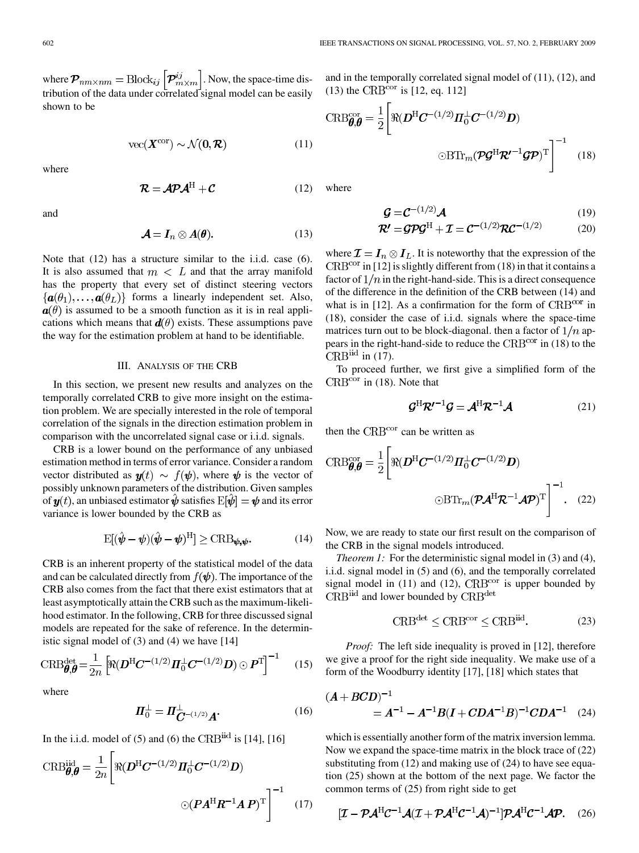where  $\mathcal{P}_{nm \times nm} = \text{Block}_{ij} \left[ \mathcal{P}_{m \times m}^{ij} \right]$ . Now, the space-time distribution of the data under correlated signal model can be easily shown to be

$$
\text{vec}(X^{\text{cor}}) \sim \mathcal{N}(\mathbf{0}, \mathcal{R})
$$
 (11)

where

$$
\mathcal{R} = \mathcal{A} \mathcal{P} \mathcal{A}^{\mathrm{H}} + \mathcal{C} \tag{12}
$$

and

$$
\mathcal{A} = I_n \otimes A(\theta). \tag{13}
$$

Note that (12) has a structure similar to the i.i.d. case (6). It is also assumed that  $m < L$  and that the array manifold has the property that every set of distinct steering vectors  $\{\boldsymbol{a}(\theta_1), \dots, \boldsymbol{a}(\theta_L)\}\)$  forms a linearly independent set. Also,  $a(\theta)$  is assumed to be a smooth function as it is in real applications which means that  $d(\theta)$  exists. These assumptions pave the way for the estimation problem at hand to be identifiable.

#### III. ANALYSIS OF THE CRB

In this section, we present new results and analyzes on the temporally correlated CRB to give more insight on the estimation problem. We are specially interested in the role of temporal correlation of the signals in the direction estimation problem in comparison with the uncorrelated signal case or i.i.d. signals.

CRB is a lower bound on the performance of any unbiased estimation method in terms of error variance. Consider a random vector distributed as  $y(t) \sim f(\psi)$ , where  $\psi$  is the vector of possibly unknown parameters of the distribution. Given samples of  $y(t)$ , an unbiased estimator  $\hat{\psi}$  satisfies  $E[\hat{\psi}] = \psi$  and its error variance is lower bounded by the CRB as

$$
\mathbf{E}[(\hat{\boldsymbol{\psi}} - \boldsymbol{\psi})(\hat{\boldsymbol{\psi}} - \boldsymbol{\psi})^{\mathrm{H}}] \ge \mathbf{CRB}_{\boldsymbol{\psi}, \boldsymbol{\psi}}.
$$
 (14)

CRB is an inherent property of the statistical model of the data and can be calculated directly from  $f(\psi)$ . The importance of the CRB also comes from the fact that there exist estimators that at least asymptotically attain the CRB such as the maximum-likelihood estimator. In the following, CRB for three discussed signal models are repeated for the sake of reference. In the deterministic signal model of (3) and (4) we have [14]

$$
\operatorname{CRB}_{\theta,\theta}^{\det} = \frac{1}{2n} \left[ \Re(\boldsymbol{D}^{\mathrm{H}} \boldsymbol{C}^{-(1/2)} \boldsymbol{\Pi}_{0}^{\perp} \boldsymbol{C}^{-(1/2)} \boldsymbol{D}) \odot \boldsymbol{P}^{\mathrm{T}} \right]^{-1} \tag{15}
$$

where

$$
\Pi_0^{\perp} = \Pi_{\mathbf{C}^{-(1/2)}\mathbf{A}}^{\perp}.
$$
 (16)

In the i.i.d. model of (5) and (6) the CRB<sup>iid</sup> is [14], [16]

$$
\text{CRB}_{\theta,\theta}^{\text{iid}} = \frac{1}{2n} \left[ \Re(D^{\text{H}}C^{-(1/2)}\Pi_0^{\perp}C^{-(1/2)}D) \right]
$$

$$
\odot(PA^{\text{H}}R^{-1}AP)^{\text{T}} \right]^{-1} \tag{17}
$$

and in the temporally correlated signal model of (11), (12), and (13) the CRB<sup>cor</sup> is [12, eq. 112]

$$
\text{CRB}_{\theta,\theta}^{\text{cor}} = \frac{1}{2} \left[ \Re(\boldsymbol{D}^{\text{H}} \boldsymbol{C}^{-(1/2)} \boldsymbol{\Pi}_{0}^{\perp} \boldsymbol{C}^{-(1/2)} \boldsymbol{D}) - \Im \text{Tr}_{m} (\boldsymbol{P} \boldsymbol{G}^{\text{H}} \boldsymbol{\mathcal{R}}^{\prime -1} \boldsymbol{G} \boldsymbol{P})^{\text{T}} \right]^{-1} \quad (18)
$$

 $2.1 - 1 = 1$ 

where

$$
\mathcal{G} = \mathcal{C}^{-(1/2)} \mathcal{A} \tag{19}
$$

$$
\mathcal{R}' = \mathcal{G}\mathcal{P}\mathcal{G}^H + \mathcal{I} = \mathcal{C}^{-(1/2)}\mathcal{R}\mathcal{C}^{-(1/2)}\tag{20}
$$

where  $\mathcal{I} = I_n \otimes I_L$ . It is noteworthy that the expression of the  $CRB<sup>cor</sup>$  in [12] is slightly different from (18) in that it contains a factor of  $1/n$  in the right-hand-side. This is a direct consequence of the difference in the definition of the CRB between (14) and what is in [12]. As a confirmation for the form of  $CRB<sup>cor</sup>$  in (18), consider the case of i.i.d. signals where the space-time matrices turn out to be block-diagonal. then a factor of  $1/n$  appears in the right-hand-side to reduce the  $CRB<sup>cor</sup>$  in (18) to the  $CRB<sup>iid</sup>$  in (17).

To proceed further, we first give a simplified form of the  $CRB<sup>cor</sup>$  in (18). Note that

$$
\mathcal{G}^{\mathrm{H}} \mathcal{R}'^{-1} \mathcal{G} = \mathcal{A}^{\mathrm{H}} \mathcal{R}^{-1} \mathcal{A}
$$
 (21)

then the  $CRB<sup>cor</sup>$  can be written as

$$
\text{CRB}_{\theta,\theta}^{\text{cor}} = \frac{1}{2} \left[ \Re(\mathbf{D}^{\text{H}} \mathbf{C}^{-(1/2)} \mathbf{I} \mathbf{I}_{0}^{\perp} \mathbf{C}^{-(1/2)} \mathbf{D}) - \text{OBT}_{\text{Im}}(\mathbf{P} \mathbf{A}^{\text{H}} \mathbf{R}^{-1} \mathbf{A} \mathbf{P})^{\text{T}} \right]^{-1}.
$$
 (22)

Now, we are ready to state our first result on the comparison of the CRB in the signal models introduced.

*Theorem 1:* For the deterministic signal model in (3) and (4), i.i.d. signal model in (5) and (6), and the temporally correlated signal model in  $(11)$  and  $(12)$ ,  $CRB<sup>cor</sup>$  is upper bounded by  $CRB<sup>iid</sup>$  and lower bounded by  $CRB<sup>det</sup>$ 

$$
CRBdet \leq CRBcor \leq CRBind.
$$
 (23)

*Proof:* The left side inequality is proved in [12], therefore we give a proof for the right side inequality. We make use of a form of the Woodburry identity [17], [18] which states that

$$
(A + BCD)^{-1}
$$
  
=  $A^{-1} - A^{-1}B(I + CDA^{-1}B)^{-1}CDA^{-1}$  (24)

which is essentially another form of the matrix inversion lemma. Now we expand the space-time matrix in the block trace of (22) substituting from (12) and making use of (24) to have see equation (25) shown at the bottom of the next page. We factor the common terms of (25) from right side to get

$$
[\mathcal{I} - \mathcal{P}\mathcal{A}^{H}\mathcal{C}^{-1}\mathcal{A}(\mathcal{I} + \mathcal{P}\mathcal{A}^{H}\mathcal{C}^{-1}\mathcal{A})^{-1}]\mathcal{P}\mathcal{A}^{H}\mathcal{C}^{-1}\mathcal{A}\mathcal{P}.
$$
 (26)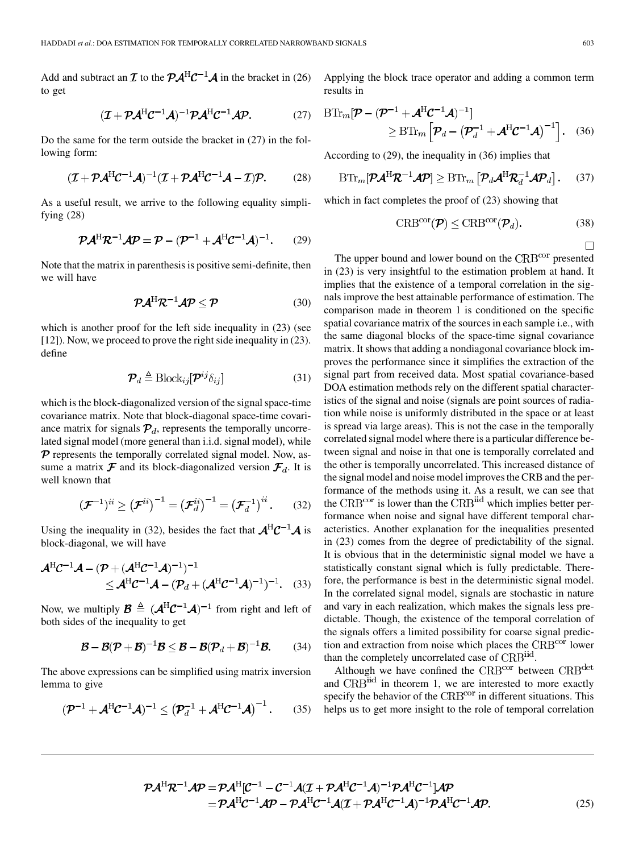Add and subtract an  $\mathcal I$  to the  $\mathcal{P} \mathcal{A}^H \mathcal{C}^{-1} \mathcal{A}$  in the bracket in (26) to get

$$
(\mathcal{I} + \mathcal{P}\mathcal{A}^{H}\mathcal{C}^{-1}\mathcal{A})^{-1}\mathcal{P}\mathcal{A}^{H}\mathcal{C}^{-1}\mathcal{A}\mathcal{P}.
$$
 (27)

Do the same for the term outside the bracket in (27) in the following form:

$$
(\mathcal{I} + \mathcal{P}\mathcal{A}^{H}\mathcal{C}^{-1}\mathcal{A})^{-1}(\mathcal{I} + \mathcal{P}\mathcal{A}^{H}\mathcal{C}^{-1}\mathcal{A} - \mathcal{I})\mathcal{P}.
$$
 (28)

As a useful result, we arrive to the following equality simplifying (28)

$$
\mathcal{P}\mathcal{A}^{\mathrm{H}}\mathcal{R}^{-1}\mathcal{A}\mathcal{P} = \mathcal{P} - (\mathcal{P}^{-1} + \mathcal{A}^{\mathrm{H}}\mathcal{C}^{-1}\mathcal{A})^{-1}.
$$
 (29)

Note that the matrix in parenthesis is positive semi-definite, then we will have

$$
\mathcal{P}\mathcal{A}^{\mathrm{H}}\mathcal{R}^{-1}\mathcal{A}\mathcal{P}\leq\mathcal{P}\tag{30}
$$

which is another proof for the left side inequality in (23) (see [12]). Now, we proceed to prove the right side inequality in (23). define

$$
\boldsymbol{\mathcal{P}}_d \triangleq \text{Block}_{ij}[\boldsymbol{\mathcal{P}}^{ij}\delta_{ij}] \tag{31}
$$

which is the block-diagonalized version of the signal space-time covariance matrix. Note that block-diagonal space-time covariance matrix for signals  $P_d$ , represents the temporally uncorrelated signal model (more general than i.i.d. signal model), while  $P$  represents the temporally correlated signal model. Now, assume a matrix  $\mathcal F$  and its block-diagonalized version  $\mathcal F_d$ . It is well known that

$$
(\mathcal{F}^{-1})^{ii} \geq (\mathcal{F}^{ii})^{-1} = (\mathcal{F}_d^{ii})^{-1} = (\mathcal{F}_d^{-1})^{ii}.
$$
 (32)

Using the inequality in (32), besides the fact that  $A^{H}C^{-1}A$  is block-diagonal, we will have

$$
\mathcal{A}^{\mathrm{H}}\mathcal{C}^{-1}\mathcal{A} - (\mathcal{P} + (\mathcal{A}^{\mathrm{H}}\mathcal{C}^{-1}\mathcal{A})^{-1})^{-1} \leq \mathcal{A}^{\mathrm{H}}\mathcal{C}^{-1}\mathcal{A} - (\mathcal{P}_d + (\mathcal{A}^{\mathrm{H}}\mathcal{C}^{-1}\mathcal{A})^{-1})^{-1}. \quad (33)
$$

Now, we multiply  $\mathcal{B} \triangleq (\mathcal{A}^H \mathcal{C}^{-1} \mathcal{A})^{-1}$  from right and left of both sides of the inequality to get

$$
\mathcal{B} - \mathcal{B}(\mathcal{P} + \mathcal{B})^{-1}\mathcal{B} \leq \mathcal{B} - \mathcal{B}(\mathcal{P}_d + \mathcal{B})^{-1}\mathcal{B}.
$$
 (34)

The above expressions can be simplified using matrix inversion lemma to give

$$
(\boldsymbol{\mathcal{P}}^{-1} + \boldsymbol{\mathcal{A}}^{\mathrm{H}} \boldsymbol{\mathcal{C}}^{-1} \boldsymbol{\mathcal{A}})^{-1} \leq (\boldsymbol{\mathcal{P}}_d^{-1} + \boldsymbol{\mathcal{A}}^{\mathrm{H}} \boldsymbol{\mathcal{C}}^{-1} \boldsymbol{\mathcal{A}})^{-1}.
$$
 (35)

Applying the block trace operator and adding a common term results in

$$
\text{BTr}_{m}[\boldsymbol{\mathcal{P}} - (\boldsymbol{\mathcal{P}}^{-1} + \boldsymbol{\mathcal{A}}^{\text{H}} \boldsymbol{\mathcal{C}}^{-1} \boldsymbol{\mathcal{A}})^{-1}] \geq \text{BTr}_{m} \left[ \boldsymbol{\mathcal{P}}_{d} - (\boldsymbol{\mathcal{P}}_{d}^{-1} + \boldsymbol{\mathcal{A}}^{\text{H}} \boldsymbol{\mathcal{C}}^{-1} \boldsymbol{\mathcal{A}})^{-1} \right]. \quad (36)
$$

According to (29), the inequality in (36) implies that

$$
\text{BTr}_{m}[\mathcal{P}\mathcal{A}^{\text{H}}\mathcal{R}^{-1}\mathcal{A}\mathcal{P}] \geq \text{BTr}_{m}\left[\mathcal{P}_{d}\mathcal{A}^{\text{H}}\mathcal{R}_{d}^{-1}\mathcal{A}\mathcal{P}_{d}\right].
$$
 (37)

which in fact completes the proof of (23) showing that

$$
\operatorname{CRB}^{\operatorname{cor}}(\mathcal{P}) \leq \operatorname{CRB}^{\operatorname{cor}}(\mathcal{P}_d). \tag{38}
$$

П

(25)

The upper bound and lower bound on the CRB<sup>cor</sup> presented in (23) is very insightful to the estimation problem at hand. It implies that the existence of a temporal correlation in the signals improve the best attainable performance of estimation. The comparison made in theorem 1 is conditioned on the specific spatial covariance matrix of the sources in each sample i.e., with the same diagonal blocks of the space-time signal covariance matrix. It shows that adding a nondiagonal covariance block improves the performance since it simplifies the extraction of the signal part from received data. Most spatial covariance-based DOA estimation methods rely on the different spatial characteristics of the signal and noise (signals are point sources of radiation while noise is uniformly distributed in the space or at least is spread via large areas). This is not the case in the temporally correlated signal model where there is a particular difference between signal and noise in that one is temporally correlated and the other is temporally uncorrelated. This increased distance of the signal model and noise model improves the CRB and the performance of the methods using it. As a result, we can see that the  $CRB<sup>cor</sup>$  is lower than the  $CRB<sup>iid</sup>$  which implies better performance when noise and signal have different temporal characteristics. Another explanation for the inequalities presented in (23) comes from the degree of predictability of the signal. It is obvious that in the deterministic signal model we have a statistically constant signal which is fully predictable. Therefore, the performance is best in the deterministic signal model. In the correlated signal model, signals are stochastic in nature and vary in each realization, which makes the signals less predictable. Though, the existence of the temporal correlation of the signals offers a limited possibility for coarse signal prediction and extraction from noise which places the CRB<sup>cor</sup> lower than the completely uncorrelated case of CRB<sup>iid</sup>.

Although we have confined the CRB<sup>cor</sup> between CRB<sup>det</sup> and  $CRB<sup>iid</sup>$  in theorem 1, we are interested to more exactly specify the behavior of the  $CRB<sup>cor</sup>$  in different situations. This helps us to get more insight to the role of temporal correlation

$$
\mathcal{P}\mathcal{A}^{\mathrm{H}}\mathcal{R}^{-1}\mathcal{A}\mathcal{P}=\mathcal{P}\mathcal{A}^{\mathrm{H}}[\mathcal{C}^{-1}-\mathcal{C}^{-1}\mathcal{A}(\mathcal{I}+\mathcal{P}\mathcal{A}^{\mathrm{H}}\mathcal{C}^{-1}\mathcal{A})^{-1}\mathcal{P}\mathcal{A}^{\mathrm{H}}\mathcal{C}^{-1}]\mathcal{A}\mathcal{P}\\=\mathcal{P}\mathcal{A}^{\mathrm{H}}\mathcal{C}^{-1}\mathcal{A}\mathcal{P}-\mathcal{P}\mathcal{A}^{\mathrm{H}}\mathcal{C}^{-1}\mathcal{A}(\mathcal{I}+\mathcal{P}\mathcal{A}^{\mathrm{H}}\mathcal{C}^{-1}\mathcal{A})^{-1}\mathcal{P}\mathcal{A}^{\mathrm{H}}\mathcal{C}^{-1}\mathcal{A}\mathcal{P}.
$$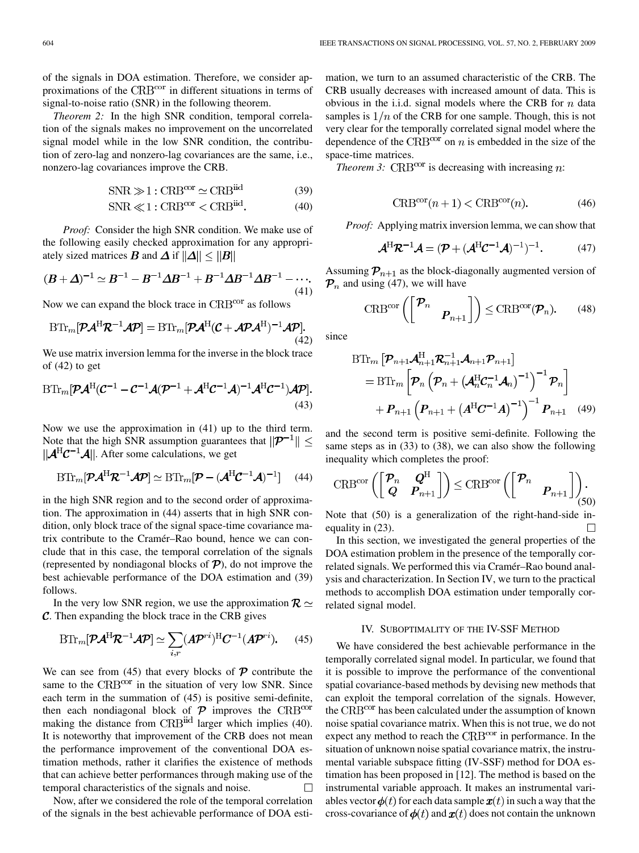of the signals in DOA estimation. Therefore, we consider approximations of the CRB<sup>cor</sup> in different situations in terms of signal-to-noise ratio (SNR) in the following theorem.

*Theorem 2:* In the high SNR condition, temporal correlation of the signals makes no improvement on the uncorrelated signal model while in the low SNR condition, the contribution of zero-lag and nonzero-lag covariances are the same, i.e., nonzero-lag covariances improve the CRB.

$$
\text{SNR} \gg 1: \text{CRB}^{\text{cor}} \simeq \text{CRB}^{\text{nd}} \tag{39}
$$

$$
\text{SNR} \ll 1: \text{CRB}^{\text{cor}} < \text{CRB}^{\text{iid}}.\tag{40}
$$

*Proof:* Consider the high SNR condition. We make use of the following easily checked approximation for any appropriately sized matrices B and  $\Delta$  if  $\|\Delta\| \leq \|B\|$ 

$$
(B + \Delta)^{-1} \simeq B^{-1} - B^{-1} \Delta B^{-1} + B^{-1} \Delta B^{-1} \Delta B^{-1} - \cdots
$$
\n(41)

Now we can expand the block trace in  $CRB<sup>cor</sup>$  as follows

$$
\text{BTr}_{m}[\mathcal{P}\mathcal{A}^{\text{H}}\mathcal{R}^{-1}\mathcal{A}\mathcal{P}] = \text{BTr}_{m}[\mathcal{P}\mathcal{A}^{\text{H}}(\mathcal{C} + \mathcal{A}\mathcal{P}\mathcal{A}^{\text{H}})^{-1}\mathcal{A}\mathcal{P}].
$$
\n(42)

We use matrix inversion lemma for the inverse in the block trace of (42) to get

$$
\text{BTr}_{m}[\mathcal{P}\mathcal{A}^{\text{H}}(\mathcal{C}^{-1}-\mathcal{C}^{-1}\mathcal{A}(\mathcal{P}^{-1}+\mathcal{A}^{\text{H}}\mathcal{C}^{-1}\mathcal{A})^{-1}\mathcal{A}^{\text{H}}\mathcal{C}^{-1})\mathcal{A}\mathcal{P}].
$$
\n(43)

Now we use the approximation in (41) up to the third term. Note that the high SNR assumption guarantees that  $||\mathcal{P}^{-1}||$  <  $\|\mathcal{A}^{H} \mathcal{C}^{-1} \mathcal{A}\|$ . After some calculations, we get

$$
\text{BTr}_{m}[\mathcal{P}\mathcal{A}^{H}\mathcal{R}^{-1}\mathcal{A}\mathcal{P}] \simeq \text{BTr}_{m}[\mathcal{P} - (\mathcal{A}^{H}\mathcal{C}^{-1}\mathcal{A})^{-1}] \qquad (44)
$$

in the high SNR region and to the second order of approximation. The approximation in (44) asserts that in high SNR condition, only block trace of the signal space-time covariance matrix contribute to the Cramér–Rao bound, hence we can conclude that in this case, the temporal correlation of the signals (represented by nondiagonal blocks of  $P$ ), do not improve the best achievable performance of the DOA estimation and (39) follows.

In the very low SNR region, we use the approximation  $\mathcal{R} \simeq$  $C$ . Then expanding the block trace in the CRB gives

$$
\text{BTr}_{m}[\mathcal{P}\mathcal{A}^{\text{H}}\mathcal{R}^{-1}\mathcal{A}\mathcal{P}] \simeq \sum_{i,r} (\mathcal{A}\mathcal{P}^{ri})^{\text{H}}\mathcal{C}^{-1}(\mathcal{A}\mathcal{P}^{ri}).\tag{45}
$$

We can see from (45) that every blocks of  $\mathcal P$  contribute the same to the  $CRB<sup>cor</sup>$  in the situation of very low SNR. Since each term in the summation of (45) is positive semi-definite, then each nondiagonal block of  $\overline{P}$  improves the CRB<sup>cor</sup> making the distance from CRB<sup>iid</sup> larger which implies (40). It is noteworthy that improvement of the CRB does not mean the performance improvement of the conventional DOA estimation methods, rather it clarifies the existence of methods that can achieve better performances through making use of the temporal characteristics of the signals and noise.  $\Box$ 

Now, after we considered the role of the temporal correlation of the signals in the best achievable performance of DOA esti-

mation, we turn to an assumed characteristic of the CRB. The CRB usually decreases with increased amount of data. This is obvious in the i.i.d. signal models where the CRB for  $n$  data samples is  $1/n$  of the CRB for one sample. Though, this is not very clear for the temporally correlated signal model where the dependence of the CRB<sup>cor</sup> on *n* is embedded in the size of the space-time matrices.

*Theorem 3:* CRB<sup>cor</sup> is decreasing with increasing  $n$ :

$$
CRBcor(n+1) < CRBcor(n).
$$
 (46)

*Proof:* Applying matrix inversion lemma, we can show that

$$
\mathcal{A}^{\mathrm{H}}\mathcal{R}^{-1}\mathcal{A} = (\mathcal{P} + (\mathcal{A}^{\mathrm{H}}\mathcal{C}^{-1}\mathcal{A})^{-1})^{-1}.
$$
 (47)

Assuming  $P_{n+1}$  as the block-diagonally augmented version of  $\mathcal{P}_n$  and using (47), we will have

$$
\operatorname{CRB}^{\operatorname{cor}}\left(\begin{bmatrix} \boldsymbol{\mathcal{P}}_n & \\ & \boldsymbol{P}_{n+1} \end{bmatrix}\right) \leq \operatorname{CRB}^{\operatorname{cor}}(\boldsymbol{\mathcal{P}}_n). \qquad (48)
$$

since

$$
B\text{Tr}_{m}\left[\mathcal{P}_{n+1}\mathcal{A}_{n+1}^{H}\mathcal{R}_{n+1}^{-1}\mathcal{A}_{n+1}\mathcal{P}_{n+1}\right]
$$
  
= 
$$
B\text{Tr}_{m}\left[\mathcal{P}_{n}\left(\mathcal{P}_{n}+\left(\mathcal{A}_{n}^{H}\mathcal{C}_{n}^{-1}\mathcal{A}_{n}\right)^{-1}\right)^{-1}\mathcal{P}_{n}\right]
$$
  
+ 
$$
P_{n+1}\left(\mathcal{P}_{n+1}+\left(A^{H}\mathcal{C}^{-1}\mathcal{A}\right)^{-1}\right)^{-1}\mathcal{P}_{n+1} \quad (49)
$$

and the second term is positive semi-definite. Following the same steps as in (33) to (38), we can also show the following inequality which completes the proof:

$$
\operatorname{CRB}^{\operatorname{cor}}\left(\begin{bmatrix} \mathcal{P}_n & \mathbf{Q}^{\operatorname{H}} \\ \mathbf{Q} & \mathbf{P}_{n+1} \end{bmatrix}\right) \leq \operatorname{CRB}^{\operatorname{cor}}\left(\begin{bmatrix} \mathcal{P}_n & \\ & \mathbf{P}_{n+1} \end{bmatrix}\right).
$$
\n(50)

Note that (50) is a generalization of the right-hand-side inequality in (23). П

In this section, we investigated the general properties of the DOA estimation problem in the presence of the temporally correlated signals. We performed this via Cramér–Rao bound analysis and characterization. In Section IV, we turn to the practical methods to accomplish DOA estimation under temporally correlated signal model.

### IV. SUBOPTIMALITY OF THE IV-SSF METHOD

We have considered the best achievable performance in the temporally correlated signal model. In particular, we found that it is possible to improve the performance of the conventional spatial covariance-based methods by devising new methods that can exploit the temporal correlation of the signals. However, the CRB<sup>cor</sup> has been calculated under the assumption of known noise spatial covariance matrix. When this is not true, we do not expect any method to reach the  $CRB<sup>cor</sup>$  in performance. In the situation of unknown noise spatial covariance matrix, the instrumental variable subspace fitting (IV-SSF) method for DOA estimation has been proposed in [12]. The method is based on the instrumental variable approach. It makes an instrumental variables vector  $\phi(t)$  for each data sample  $x(t)$  in such a way that the cross-covariance of  $\phi(t)$  and  $x(t)$  does not contain the unknown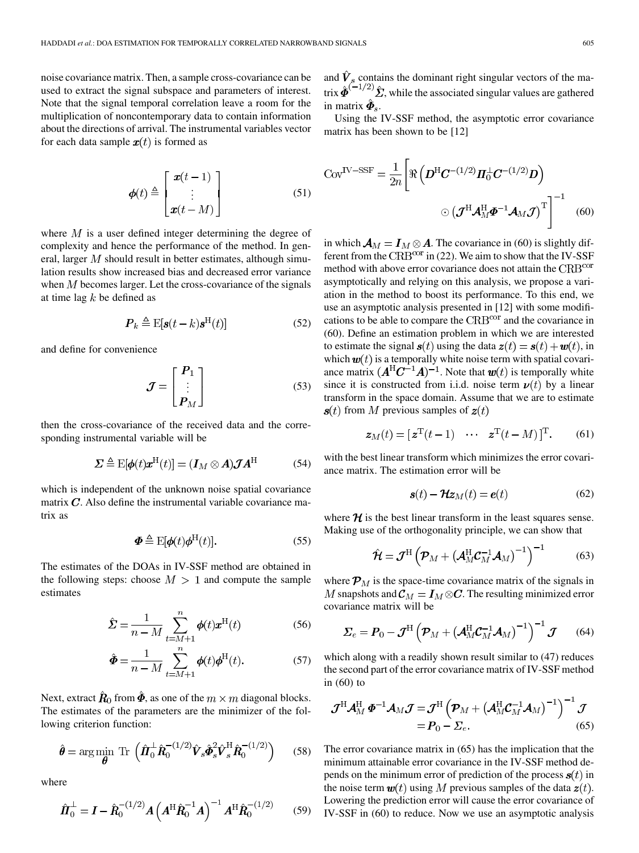noise covariance matrix. Then, a sample cross-covariance can be used to extract the signal subspace and parameters of interest. Note that the signal temporal correlation leave a room for the multiplication of noncontemporary data to contain information about the directions of arrival. The instrumental variables vector for each data sample  $x(t)$  is formed as

$$
\boldsymbol{\phi}(t) \triangleq \begin{bmatrix} \boldsymbol{x}(t-1) \\ \vdots \\ \boldsymbol{x}(t-M) \end{bmatrix} \tag{51}
$$

where  $M$  is a user defined integer determining the degree of complexity and hence the performance of the method. In general, larger  $M$  should result in better estimates, although simulation results show increased bias and decreased error variance when  $M$  becomes larger. Let the cross-covariance of the signals at time lag  $k$  be defined as

$$
\boldsymbol{P}_k \triangleq \mathrm{E}[\boldsymbol{s}(t-k)\boldsymbol{s}^{\mathrm{H}}(t)] \tag{52}
$$

and define for convenience

$$
\mathcal{J} = \begin{bmatrix} P_1 \\ \vdots \\ P_M \end{bmatrix} \tag{53}
$$

then the cross-covariance of the received data and the corresponding instrumental variable will be

$$
\Sigma \triangleq \mathrm{E}[\phi(t)x^{\mathrm{H}}(t)] = (I_M \otimes A)\mathcal{J}A^{\mathrm{H}} \tag{54}
$$

which is independent of the unknown noise spatial covariance matrix  $C$ . Also define the instrumental variable covariance matrix as

$$
\boldsymbol{\Phi} \triangleq \mathrm{E}[\boldsymbol{\phi}(t)\boldsymbol{\phi}^{\mathrm{H}}(t)]. \tag{55}
$$

The estimates of the DOAs in IV-SSF method are obtained in the following steps: choose  $M > 1$  and compute the sample estimates

$$
\hat{\Sigma} = \frac{1}{n - M} \sum_{t=M+1}^{n} \phi(t) \mathbf{x}^{\mathrm{H}}(t) \tag{56}
$$

$$
\hat{\boldsymbol{\Phi}} = \frac{1}{n - M} \sum_{t = M + 1}^{n} \boldsymbol{\phi}(t) \boldsymbol{\phi}^{\mathrm{H}}(t). \tag{57}
$$

Next, extract  $\hat{R}_0$  from  $\hat{\Phi}$ , as one of the  $m \times m$  diagonal blocks. The estimates of the parameters are the minimizer of the following criterion function:

$$
\hat{\boldsymbol{\theta}} = \arg\min_{\boldsymbol{\theta}} \operatorname{Tr} \left( \hat{\boldsymbol{\Pi}}_0^{\perp} \hat{\boldsymbol{R}}_0^{-\left(1/2\right)} \hat{\boldsymbol{V}}_s \hat{\boldsymbol{\phi}}_s^2 \hat{\boldsymbol{V}}_s^{\mathrm{H}} \hat{\boldsymbol{R}}_0^{-\left(1/2\right)} \right) \tag{58}
$$

where

$$
\hat{H}_0^{\perp} = I - \hat{R}_0^{-(1/2)} A \left( A^{\mathrm{H}} \hat{R}_0^{-1} A \right)^{-1} A^{\mathrm{H}} \hat{R}_0^{-(1/2)} \tag{59}
$$

and  $\hat{V}_s$  contains the dominant right singular vectors of the matrix  $\hat{\boldsymbol{\phi}}^{(-1/2)}\hat{\boldsymbol{\Sigma}}$ , while the associated singular values are gathered in matrix  $\hat{\boldsymbol{\phi}}_s$ .

Using the IV-SSF method, the asymptotic error covariance matrix has been shown to be [12]

$$
Cov^{IV-SSF} = \frac{1}{2n} \left[ \Re \left( D^{H} C^{-(1/2)} \Pi_{0}^{\perp} C^{-(1/2)} D \right) \right. \\
\left. \bigodot \left( \mathcal{J}^{H} \mathcal{A}_{M}^{H} \boldsymbol{\Phi}^{-1} \mathcal{A}_{M} \mathcal{J} \right)^{\mathrm{T}} \right]^{-1} \tag{60}
$$

in which  $\mathcal{A}_M = I_M \otimes A$ . The covariance in (60) is slightly different from the  $\mathrm{CRB}^\mathrm{cor}$  in (22). We aim to show that the IV-SSF method with above error covariance does not attain the CRB<sup>cor</sup> asymptotically and relying on this analysis, we propose a variation in the method to boost its performance. To this end, we use an asymptotic analysis presented in [12] with some modifications to be able to compare the CRB<sup>cor</sup> and the covariance in (60). Define an estimation problem in which we are interested to estimate the signal  $s(t)$  using the data  $z(t) = s(t) + w(t)$ , in which  $w(t)$  is a temporally white noise term with spatial covariance matrix  $(A^{H}C^{-1}A)^{-1}$ . Note that  $w(t)$  is temporally white since it is constructed from i.i.d. noise term  $\mathbf{v}(t)$  by a linear transform in the space domain. Assume that we are to estimate  $s(t)$  from M previous samples of  $z(t)$ 

$$
z_M(t) = [z^{\mathrm{T}}(t-1) \cdots z^{\mathrm{T}}(t-M)]^{\mathrm{T}}.
$$
 (61)

with the best linear transform which minimizes the error covariance matrix. The estimation error will be

$$
\mathbf{s}(t) - \mathcal{H}\mathbf{z}_M(t) = \mathbf{e}(t) \tag{62}
$$

where  $\mathcal H$  is the best linear transform in the least squares sense. Making use of the orthogonality principle, we can show that

$$
\hat{\boldsymbol{\mathcal{H}}} = \boldsymbol{\mathcal{J}}^{\mathrm{H}} \left( \boldsymbol{\mathcal{P}}_{M} + \left( \boldsymbol{\mathcal{A}}_{M}^{\mathrm{H}} \boldsymbol{\mathcal{C}}_{M}^{-1} \boldsymbol{\mathcal{A}}_{M} \right)^{-1} \right)^{-1} \tag{63}
$$

where  $\mathcal{P}_M$  is the space-time covariance matrix of the signals in  $M$  snapshots and  $\mathcal{C}_M = I_M \otimes C$ . The resulting minimized error covariance matrix will be

$$
\Sigma_e = P_0 - \mathcal{J}^{\mathrm{H}} \left( \mathcal{P}_M + \left( \mathcal{A}_M^{\mathrm{H}} \mathcal{C}_M^{-1} \mathcal{A}_M \right)^{-1} \right)^{-1} \mathcal{J} \qquad (64)
$$

which along with a readily shown result similar to (47) reduces the second part of the error covariance matrix of IV-SSF method in (60) to

$$
\mathcal{J}^{\mathrm{H}}\mathcal{A}_{M}^{\mathrm{H}}\varPhi^{-1}\mathcal{A}_{M}\mathcal{J}=\mathcal{J}^{\mathrm{H}}\left(\mathcal{P}_{M}+\left(\mathcal{A}_{M}^{\mathrm{H}}\mathcal{C}_{M}^{-1}\mathcal{A}_{M}\right)^{-1}\right)^{-1}\mathcal{J}=P_{0}-\Sigma_{e}.
$$
 (65)

The error covariance matrix in (65) has the implication that the minimum attainable error covariance in the IV-SSF method depends on the minimum error of prediction of the process  $\mathbf{s}(t)$  in the noise term  $w(t)$  using M previous samples of the data  $z(t)$ . Lowering the prediction error will cause the error covariance of IV-SSF in (60) to reduce. Now we use an asymptotic analysis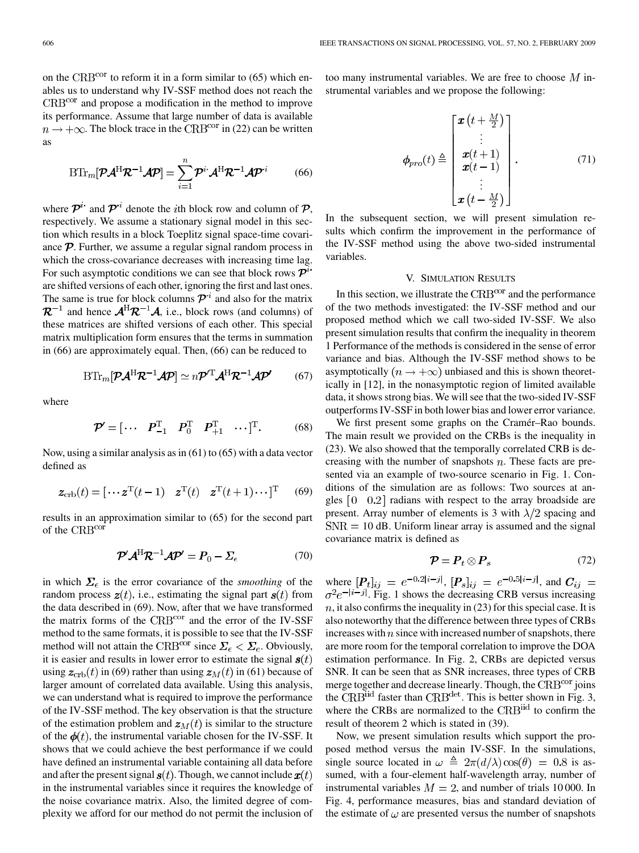on the  $CRB<sup>cor</sup>$  to reform it in a form similar to (65) which enables us to understand why IV-SSF method does not reach the  $CRB<sup>cor</sup>$  and propose a modification in the method to improve its performance. Assume that large number of data is available  $n \rightarrow +\infty$ . The block trace in the CRB<sup>cor</sup> in (22) can be written as

$$
B\text{Tr}_{m}[\mathcal{P}\mathcal{A}^{H}\mathcal{R}^{-1}\mathcal{A}\mathcal{P}] = \sum_{i=1}^{n} \mathcal{P}^{i} \cdot \mathcal{A}^{H}\mathcal{R}^{-1}\mathcal{A}\mathcal{P}^{i} \qquad (66)
$$

where  $\mathcal{P}^i$  and  $\mathcal{P}^i$  denote the *i*th block row and column of  $\mathcal{P}$ , respectively. We assume a stationary signal model in this section which results in a block Toeplitz signal space-time covariance  $\mathcal P$ . Further, we assume a regular signal random process in which the cross-covariance decreases with increasing time lag. For such asymptotic conditions we can see that block rows  $\mathcal{P}^{\iota}$ . are shifted versions of each other, ignoring the first and last ones. The same is true for block columns  $\mathcal{P}^i$  and also for the matrix  $\mathcal{R}^{-1}$  and hence  $\mathcal{A}^{H} \mathcal{R}^{-1} \mathcal{A}$ , i.e., block rows (and columns) of these matrices are shifted versions of each other. This special matrix multiplication form ensures that the terms in summation in (66) are approximately equal. Then, (66) can be reduced to

$$
\text{BT}_{m}[\mathcal{P}\mathcal{A}^{\text{H}}\mathcal{R}^{-1}\mathcal{A}\mathcal{P}] \simeq n\mathcal{P}^{\prime \text{T}}\mathcal{A}^{\text{H}}\mathcal{R}^{-1}\mathcal{A}\mathcal{P}' \qquad (67)
$$

where

$$
\boldsymbol{\mathcal{P}}' = [\cdots \quad \boldsymbol{P}_{-1}^{\mathrm{T}} \quad \boldsymbol{P}_{0}^{\mathrm{T}} \quad \boldsymbol{P}_{+1}^{\mathrm{T}} \quad \cdots]^{\mathrm{T}}. \tag{68}
$$

Now, using a similar analysis as in (61) to (65) with a data vector defined as

$$
\mathbf{z}_{\rm crb}(t) = [\cdots \mathbf{z}^{\rm T}(t-1) \quad \mathbf{z}^{\rm T}(t) \quad \mathbf{z}^{\rm T}(t+1)\cdots]^{\rm T} \tag{69}
$$

results in an approximation similar to (65) for the second part of the CRB<sup>cor</sup>

$$
\mathcal{P}'\mathcal{A}^{\mathrm{H}}\mathcal{R}^{-1}\mathcal{A}\mathcal{P}' = P_0 - \Sigma_{\epsilon}
$$
 (70)

in which  $\Sigma_{\epsilon}$  is the error covariance of the *smoothing* of the random process  $z(t)$ , i.e., estimating the signal part  $s(t)$  from the data described in (69). Now, after that we have transformed the matrix forms of the CRB<sup>cor</sup> and the error of the IV-SSF method to the same formats, it is possible to see that the IV-SSF method will not attain the CRB<sup>cor</sup> since  $\mathcal{L}_{\epsilon} < \mathcal{L}_{e}$ . Obviously, it is easier and results in lower error to estimate the signal  $s(t)$ using  $z_{\rm crb}(t)$  in (69) rather than using  $z_M(t)$  in (61) because of larger amount of correlated data available. Using this analysis, we can understand what is required to improve the performance of the IV-SSF method. The key observation is that the structure of the estimation problem and  $z_M(t)$  is similar to the structure of the  $\phi(t)$ , the instrumental variable chosen for the IV-SSF. It shows that we could achieve the best performance if we could have defined an instrumental variable containing all data before and after the present signal  $\mathbf{s}(t)$ . Though, we cannot include  $\mathbf{x}(t)$ in the instrumental variables since it requires the knowledge of the noise covariance matrix. Also, the limited degree of complexity we afford for our method do not permit the inclusion of

too many instrumental variables. We are free to choose  $M$  instrumental variables and we propose the following:

$$
\phi_{pro}(t) \triangleq \begin{bmatrix} x(t + \frac{M}{2}) \\ \vdots \\ x(t + 1) \\ x(t - 1) \\ \vdots \\ x(t - \frac{M}{2}) \end{bmatrix} . \tag{71}
$$

In the subsequent section, we will present simulation results which confirm the improvement in the performance of the IV-SSF method using the above two-sided instrumental variables.

#### V. SIMULATION RESULTS

In this section, we illustrate the CRB<sup>cor</sup> and the performance of the two methods investigated: the IV-SSF method and our proposed method which we call two-sided IV-SSF. We also present simulation results that confirm the inequality in theorem 1 Performance of the methods is considered in the sense of error variance and bias. Although the IV-SSF method shows to be asymptotically  $(n \rightarrow +\infty)$  unbiased and this is shown theoretically in [12], in the nonasymptotic region of limited available data, it shows strong bias. We will see that the two-sided IV-SSF outperforms IV-SSF in both lower bias and lower error variance.

We first present some graphs on the Cramér–Rao bounds. The main result we provided on the CRBs is the inequality in (23). We also showed that the temporally correlated CRB is decreasing with the number of snapshots  $n$ . These facts are presented via an example of two-source scenario in Fig. 1. Conditions of the simulation are as follows: Two sources at angles  $\begin{bmatrix} 0 & 0.2 \end{bmatrix}$  radians with respect to the array broadside are present. Array number of elements is 3 with  $\lambda/2$  spacing and  $SNR = 10$  dB. Uniform linear array is assumed and the signal covariance matrix is defined as

$$
\mathcal{P} = \boldsymbol{P}_t \otimes \boldsymbol{P}_s \tag{72}
$$

where  $[P_t]_{ij} = e^{-0.2|i-j|}$ ,  $[P_s]_{ij} = e^{-0.5|i-j|}$ , and  $C_{ij} =$  $\sigma^2 e^{-|i-j|}$ . Fig. 1 shows the decreasing CRB versus increasing  $n$ , it also confirms the inequality in (23) for this special case. It is also noteworthy that the difference between three types of CRBs increases with  $n$  since with increased number of snapshots, there are more room for the temporal correlation to improve the DOA estimation performance. In Fig. 2, CRBs are depicted versus SNR. It can be seen that as SNR increases, three types of CRB merge together and decrease linearly. Though, the  $CRB<sup>cor</sup>$  joins the CRB<sup>iid</sup> faster than CRB<sup>det</sup>. This is better shown in Fig. 3, where the CRBs are normalized to the  $CRB<sup>iid</sup>$  to confirm the result of theorem 2 which is stated in (39).

Now, we present simulation results which support the proposed method versus the main IV-SSF. In the simulations, single source located in  $\omega \triangleq 2\pi (d/\lambda)\cos(\theta) = 0.8$  is assumed, with a four-element half-wavelength array, number of instrumental variables  $M = 2$ , and number of trials 10 000. In Fig. 4, performance measures, bias and standard deviation of the estimate of  $\omega$  are presented versus the number of snapshots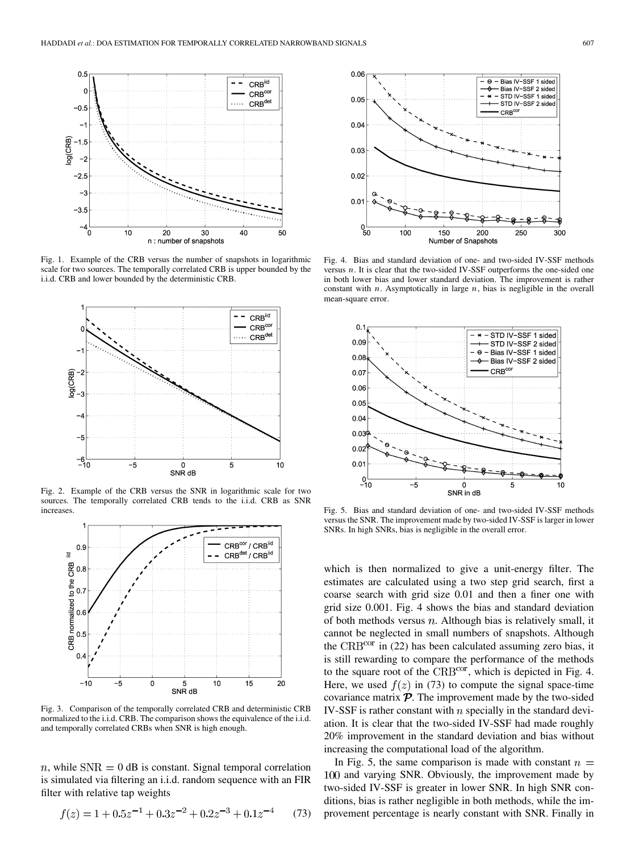

Fig. 1. Example of the CRB versus the number of snapshots in logarithmic scale for two sources. The temporally correlated CRB is upper bounded by the i.i.d. CRB and lower bounded by the deterministic CRB.



Fig. 2. Example of the CRB versus the SNR in logarithmic scale for two sources. The temporally correlated CRB tends to the i.i.d. CRB as SNR increases.



Fig. 3. Comparison of the temporally correlated CRB and deterministic CRB normalized to the i.i.d. CRB. The comparison shows the equivalence of the i.i.d. and temporally correlated CRBs when SNR is high enough.

 $n$ , while  $SNR = 0$  dB is constant. Signal temporal correlation is simulated via filtering an i.i.d. random sequence with an FIR filter with relative tap weights

$$
f(z) = 1 + 0.5z^{-1} + 0.3z^{-2} + 0.2z^{-3} + 0.1z^{-4}
$$
 (73)



Fig. 4. Bias and standard deviation of one- and two-sided IV-SSF methods versus  $n$ . It is clear that the two-sided IV-SSF outperforms the one-sided one in both lower bias and lower standard deviation. The improvement is rather constant with  $n$ . Asymptotically in large  $n$ , bias is negligible in the overall mean-square error.



Fig. 5. Bias and standard deviation of one- and two-sided IV-SSF methods versus the SNR. The improvement made by two-sided IV-SSF is larger in lower SNRs. In high SNRs, bias is negligible in the overall error.

which is then normalized to give a unit-energy filter. The estimates are calculated using a two step grid search, first a coarse search with grid size 0.01 and then a finer one with grid size 0.001. Fig. 4 shows the bias and standard deviation of both methods versus  $n$ . Although bias is relatively small, it cannot be neglected in small numbers of snapshots. Although the  $CRB<sup>cor</sup>$  in (22) has been calculated assuming zero bias, it is still rewarding to compare the performance of the methods to the square root of the  $CRB<sup>cor</sup>$ , which is depicted in Fig. 4. Here, we used  $f(z)$  in (73) to compute the signal space-time covariance matrix  $\mathcal{P}$ . The improvement made by the two-sided IV-SSF is rather constant with  $n$  specially in the standard deviation. It is clear that the two-sided IV-SSF had made roughly 20% improvement in the standard deviation and bias without increasing the computational load of the algorithm.

In Fig. 5, the same comparison is made with constant  $n =$ 100 and varying SNR. Obviously, the improvement made by two-sided IV-SSF is greater in lower SNR. In high SNR conditions, bias is rather negligible in both methods, while the improvement percentage is nearly constant with SNR. Finally in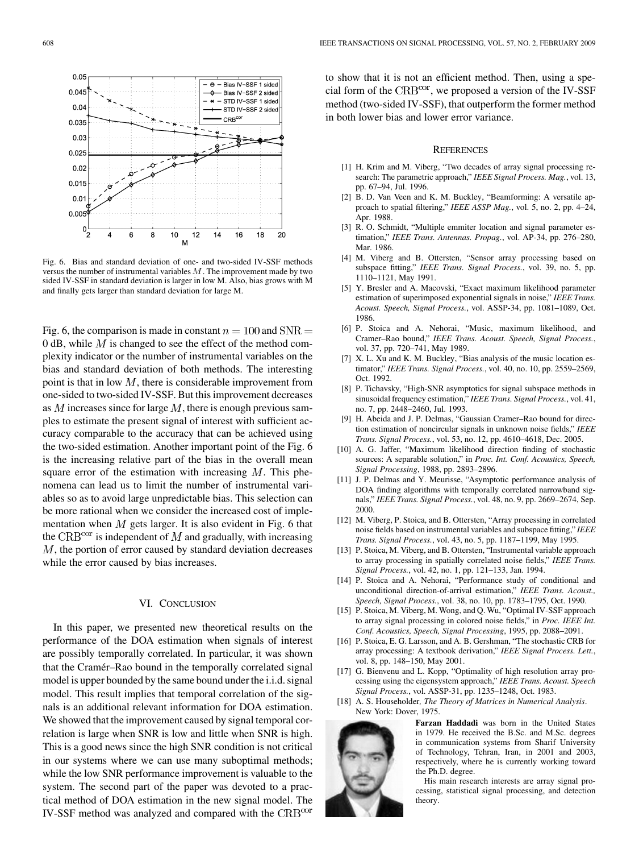

Fig. 6. Bias and standard deviation of one- and two-sided IV-SSF methods versus the number of instrumental variables  $M$ . The improvement made by two sided IV-SSF in standard deviation is larger in low M. Also, bias grows with M and finally gets larger than standard deviation for large M.

Fig. 6, the comparison is made in constant  $n = 100$  and SNR  $=$  $0$  dB, while  $M$  is changed to see the effect of the method complexity indicator or the number of instrumental variables on the bias and standard deviation of both methods. The interesting point is that in low  $M$ , there is considerable improvement from one-sided to two-sided IV-SSF. But this improvement decreases as  $M$  increases since for large  $M$ , there is enough previous samples to estimate the present signal of interest with sufficient accuracy comparable to the accuracy that can be achieved using the two-sided estimation. Another important point of the Fig. 6 is the increasing relative part of the bias in the overall mean square error of the estimation with increasing  $M$ . This phenomena can lead us to limit the number of instrumental variables so as to avoid large unpredictable bias. This selection can be more rational when we consider the increased cost of implementation when  $M$  gets larger. It is also evident in Fig. 6 that the CRB<sup>cor</sup> is independent of M and gradually, with increasing  $M$ , the portion of error caused by standard deviation decreases while the error caused by bias increases.

#### VI. CONCLUSION

In this paper, we presented new theoretical results on the performance of the DOA estimation when signals of interest are possibly temporally correlated. In particular, it was shown that the Cramér–Rao bound in the temporally correlated signal model is upper bounded by the same bound under the i.i.d. signal model. This result implies that temporal correlation of the signals is an additional relevant information for DOA estimation. We showed that the improvement caused by signal temporal correlation is large when SNR is low and little when SNR is high. This is a good news since the high SNR condition is not critical in our systems where we can use many suboptimal methods; while the low SNR performance improvement is valuable to the system. The second part of the paper was devoted to a practical method of DOA estimation in the new signal model. The IV-SSF method was analyzed and compared with the  $CRB<sup>cor</sup>$ 

to show that it is not an efficient method. Then, using a special form of the  $CRB<sup>cor</sup>$ , we proposed a version of the IV-SSF method (two-sided IV-SSF), that outperform the former method in both lower bias and lower error variance.

#### **REFERENCES**

- [1] H. Krim and M. Viberg, "Two decades of array signal processing research: The parametric approach," *IEEE Signal Process. Mag.*, vol. 13, pp. 67–94, Jul. 1996.
- [2] B. D. Van Veen and K. M. Buckley, "Beamforming: A versatile approach to spatial filtering," *IEEE ASSP Mag.*, vol. 5, no. 2, pp. 4–24, Apr. 1988.
- [3] R. O. Schmidt, "Multiple emmiter location and signal parameter estimation," *IEEE Trans. Antennas. Propag.*, vol. AP-34, pp. 276–280, Mar. 1986.
- [4] M. Viberg and B. Ottersten, "Sensor array processing based on subspace fitting," *IEEE Trans. Signal Process.*, vol. 39, no. 5, pp. 1110–1121, May 1991.
- [5] Y. Bresler and A. Macovski, "Exact maximum likelihood parameter estimation of superimposed exponential signals in noise," *IEEE Trans. Acoust. Speech, Signal Process.*, vol. ASSP-34, pp. 1081–1089, Oct. 1986.
- [6] P. Stoica and A. Nehorai, "Music, maximum likelihood, and Cramer–Rao bound," *IEEE Trans. Acoust. Speech, Signal Process.*, vol. 37, pp. 720–741, May 1989.
- [7] X. L. Xu and K. M. Buckley, "Bias analysis of the music location estimator," *IEEE Trans. Signal Process.*, vol. 40, no. 10, pp. 2559–2569, Oct. 1992.
- [8] P. Tichavsky, "High-SNR asymptotics for signal subspace methods in sinusoidal frequency estimation," *IEEE Trans. Signal Process.*, vol. 41, no. 7, pp. 2448–2460, Jul. 1993.
- [9] H. Abeida and J. P. Delmas, "Gaussian Cramer–Rao bound for direction estimation of noncircular signals in unknown noise fields," *IEEE Trans. Signal Process.*, vol. 53, no. 12, pp. 4610–4618, Dec. 2005.
- [10] A. G. Jaffer, "Maximum likelihood direction finding of stochastic sources: A separable solution," in *Proc. Int. Conf. Acoustics, Speech, Signal Processing*, 1988, pp. 2893–2896.
- [11] J. P. Delmas and Y. Meurisse, "Asymptotic performance analysis of DOA finding algorithms with temporally correlated narrowband signals," *IEEE Trans. Signal Process.*, vol. 48, no. 9, pp. 2669–2674, Sep. 2000.
- [12] M. Viberg, P. Stoica, and B. Ottersten, "Array processing in correlated noise fields based on instrumental variables and subspace fitting," *IEEE Trans. Signal Process.*, vol. 43, no. 5, pp. 1187–1199, May 1995.
- [13] P. Stoica, M. Viberg, and B. Ottersten, "Instrumental variable approach to array processing in spatially correlated noise fields," *IEEE Trans. Signal Process.*, vol. 42, no. 1, pp. 121–133, Jan. 1994.
- [14] P. Stoica and A. Nehorai, "Performance study of conditional and unconditional direction-of-arrival estimation," *IEEE Trans. Acoust., Speech, Signal Process.*, vol. 38, no. 10, pp. 1783–1795, Oct. 1990.
- [15] P. Stoica, M. Viberg, M. Wong, and Q. Wu, "Optimal IV-SSF approach to array signal processing in colored noise fields," in *Proc. IEEE Int. Conf. Acoustics, Speech, Signal Processing*, 1995, pp. 2088–2091.
- [16] P. Stoica, E. G. Larsson, and A. B. Gershman, "The stochastic CRB for array processing: A textbook derivation," *IEEE Signal Process. Lett.*, vol. 8, pp. 148–150, May 2001.
- [17] G. Bienvenu and L. Kopp, "Optimality of high resolution array processing using the eigensystem approach," *IEEE Trans. Acoust. Speech Signal Process.*, vol. ASSP-31, pp. 1235–1248, Oct. 1983.
- [18] A. S. Householder*, The Theory of Matrices in Numerical Analysis*. New York: Dover, 1975.



**Farzan Haddadi** was born in the United States in 1979. He received the B.Sc. and M.Sc. degrees in communication systems from Sharif University of Technology, Tehran, Iran, in 2001 and 2003, respectively, where he is currently working toward the Ph.D. degree.

His main research interests are array signal processing, statistical signal processing, and detection theory.